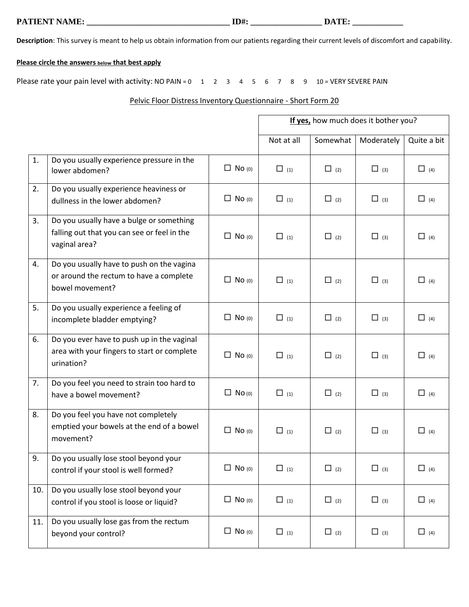**PATIENT NAME: \_\_\_\_\_\_\_\_\_\_\_\_\_\_\_\_\_\_\_\_\_\_\_\_\_\_\_\_\_\_\_\_\_\_ ID#: \_\_\_\_\_\_\_\_\_\_\_\_\_\_\_\_\_ DATE: \_\_\_\_\_\_\_\_\_\_\_\_** 

**Description**: This survey is meant to help us obtain information from our patients regarding their current levels of discomfort and capability.

## **Please circle the answers below that best apply**

Please rate your pain level with activity: NO PAIN =  $0 \quad 1 \quad 2 \quad 3 \quad 4 \quad 5 \quad 6 \quad 7 \quad 8 \quad 9 \quad 10 = VERN SEVERE PAIN$ 

## Pelvic Floor Distress Inventory Questionnaire - Short Form 20

|     |                                                                                                          |               | If yes, how much does it bother you? |            |            |             |
|-----|----------------------------------------------------------------------------------------------------------|---------------|--------------------------------------|------------|------------|-------------|
|     |                                                                                                          |               | Not at all                           | Somewhat   | Moderately | Quite a bit |
| 1.  | Do you usually experience pressure in the<br>lower abdomen?                                              | $\Box$ No (0) | $\Box$ (1)                           | $\Box$ (2) | $\Box$ (3) | $\Box$ (4)  |
| 2.  | Do you usually experience heaviness or<br>dullness in the lower abdomen?                                 | $\Box$ No (0) | $\Box$ (1)                           | $\Box$ (2) | $\Box$ (3) | $\Box$ (4)  |
| 3.  | Do you usually have a bulge or something<br>falling out that you can see or feel in the<br>vaginal area? | $\Box$ No (0) | $\Box$ (1)                           | $\Box$ (2) | $\Box$ (3) | $\Box$ (4)  |
| 4.  | Do you usually have to push on the vagina<br>or around the rectum to have a complete<br>bowel movement?  | $\Box$ No (0) | $\Box$ (1)                           | $\Box$ (2) | $\Box$ (3) | $\Box$ (4)  |
| 5.  | Do you usually experience a feeling of<br>incomplete bladder emptying?                                   | $\Box$ No (0) | $\Box$ (1)                           | $\Box$ (2) | $\Box$ (3) | $\Box$ (4)  |
| 6.  | Do you ever have to push up in the vaginal<br>area with your fingers to start or complete<br>urination?  | $\Box$ No (0) | $\Box$ (1)                           | $\Box$ (2) | $\Box$ (3) | $\Box$ (4)  |
| 7.  | Do you feel you need to strain too hard to<br>have a bowel movement?                                     | $\Box$ No (0) | $\Box$ (1)                           | $\Box$ (2) | $\Box$ (3) | $\Box$ (4)  |
| 8.  | Do you feel you have not completely<br>emptied your bowels at the end of a bowel<br>movement?            | $\Box$ No (0) | $\Box$ (1)                           | $\Box$ (2) | $\Box$ (3) | $\Box$ (4)  |
| 9.  | Do you usually lose stool beyond your<br>control if your stool is well formed?                           | $\Box$ No (0) | $\Box$ (1)                           | $\Box$ (2) | $\Box$ (3) | $\Box$ (4)  |
| 10. | Do you usually lose stool beyond your<br>control if you stool is loose or liquid?                        | $\Box$ No (0) | $\Box$ (1)                           | $\Box$ (2) | $\Box$ (3) | $\Box$ (4)  |
| 11. | Do you usually lose gas from the rectum<br>beyond your control?                                          | $\Box$ No (0) | $\Box$ (1)                           | $\Box$ (2) | $\Box$ (3) | $\Box$ (4)  |